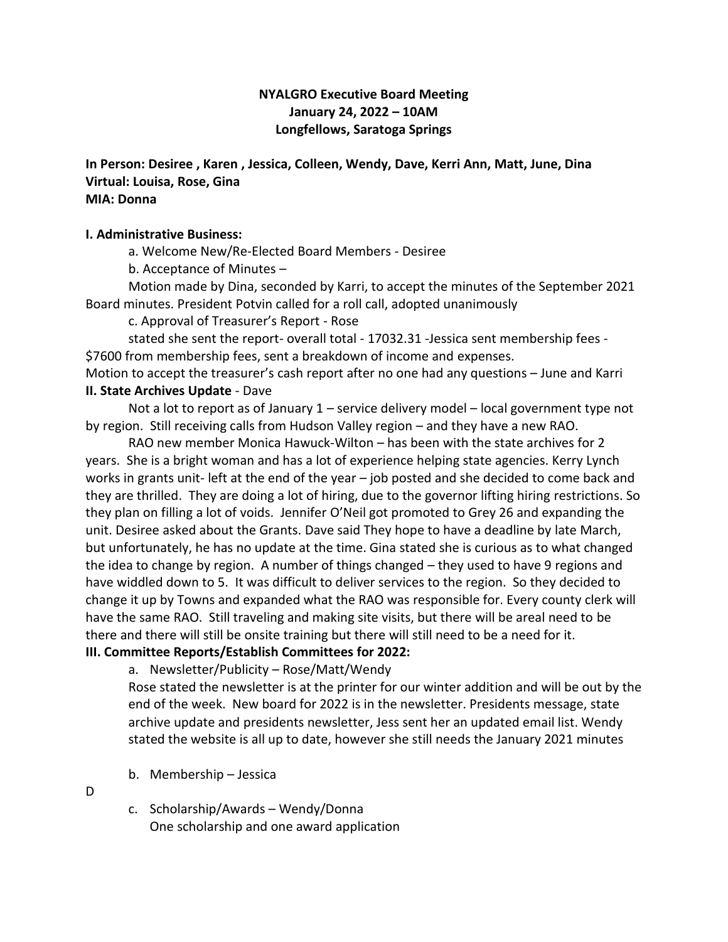## **NYALGRO Executive Board Meeting January 24, 2022 – 10AM Longfellows, Saratoga Springs**

**In Person: Desiree , Karen , Jessica, Colleen, Wendy, Dave, Kerri Ann, Matt, June, Dina Virtual: Louisa, Rose, Gina MIA: Donna** 

#### **I. Administrative Business:**

a. Welcome New/Re-Elected Board Members - Desiree

b. Acceptance of Minutes –

Motion made by Dina, seconded by Karri, to accept the minutes of the September 2021 Board minutes. President Potvin called for a roll call, adopted unanimously

c. Approval of Treasurer's Report - Rose

stated she sent the report- overall total - 17032.31 -Jessica sent membership fees - \$7600 from membership fees, sent a breakdown of income and expenses.

Motion to accept the treasurer's cash report after no one had any questions – June and Karri **II. State Archives Update** - Dave

Not a lot to report as of January 1 – service delivery model – local government type not by region. Still receiving calls from Hudson Valley region – and they have a new RAO.

RAO new member Monica Hawuck-Wilton – has been with the state archives for 2 years. She is a bright woman and has a lot of experience helping state agencies. Kerry Lynch works in grants unit- left at the end of the year – job posted and she decided to come back and they are thrilled. They are doing a lot of hiring, due to the governor lifting hiring restrictions. So they plan on filling a lot of voids. Jennifer O'Neil got promoted to Grey 26 and expanding the unit. Desiree asked about the Grants. Dave said They hope to have a deadline by late March, but unfortunately, he has no update at the time. Gina stated she is curious as to what changed the idea to change by region. A number of things changed – they used to have 9 regions and have widdled down to 5. It was difficult to deliver services to the region. So they decided to change it up by Towns and expanded what the RAO was responsible for. Every county clerk will have the same RAO. Still traveling and making site visits, but there will be areal need to be there and there will still be onsite training but there will still need to be a need for it. **III. Committee Reports/Establish Committees for 2022:**

a. Newsletter/Publicity – Rose/Matt/Wendy

Rose stated the newsletter is at the printer for our winter addition and will be out by the end of the week. New board for 2022 is in the newsletter. Presidents message, state archive update and presidents newsletter, Jess sent her an updated email list. Wendy stated the website is all up to date, however she still needs the January 2021 minutes

- b. Membership Jessica
- D
- c. Scholarship/Awards Wendy/Donna One scholarship and one award application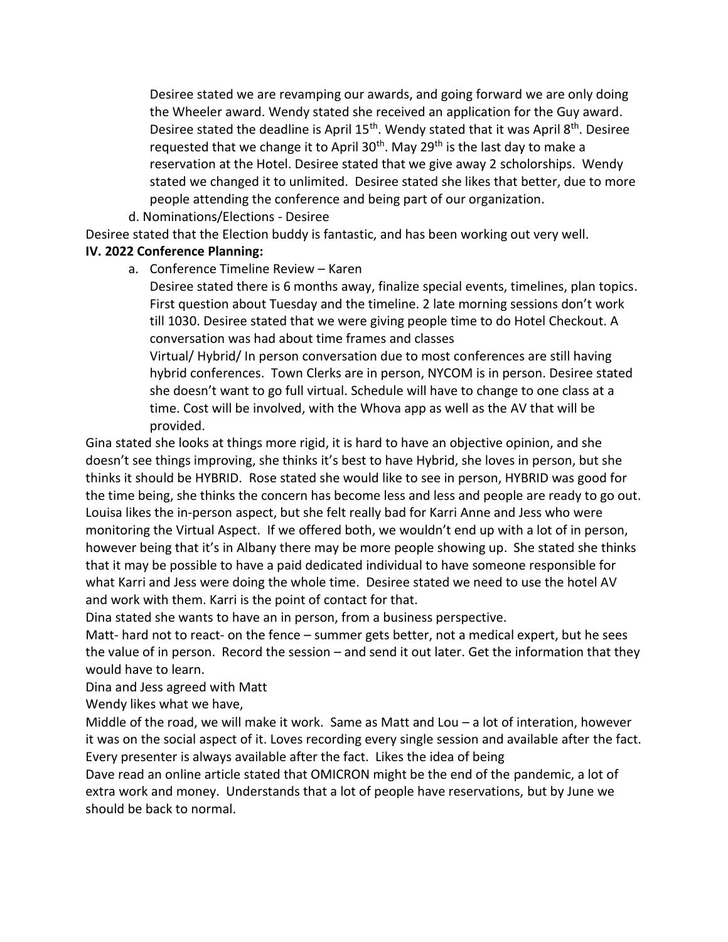Desiree stated we are revamping our awards, and going forward we are only doing the Wheeler award. Wendy stated she received an application for the Guy award. Desiree stated the deadline is April  $15<sup>th</sup>$ . Wendy stated that it was April  $8<sup>th</sup>$ . Desiree requested that we change it to April  $30<sup>th</sup>$ . May 29<sup>th</sup> is the last day to make a reservation at the Hotel. Desiree stated that we give away 2 scholorships. Wendy stated we changed it to unlimited. Desiree stated she likes that better, due to more people attending the conference and being part of our organization.

d. Nominations/Elections - Desiree

Desiree stated that the Election buddy is fantastic, and has been working out very well. **IV. 2022 Conference Planning:**

a. Conference Timeline Review – Karen

Desiree stated there is 6 months away, finalize special events, timelines, plan topics. First question about Tuesday and the timeline. 2 late morning sessions don't work till 1030. Desiree stated that we were giving people time to do Hotel Checkout. A conversation was had about time frames and classes

Virtual/ Hybrid/ In person conversation due to most conferences are still having hybrid conferences. Town Clerks are in person, NYCOM is in person. Desiree stated she doesn't want to go full virtual. Schedule will have to change to one class at a time. Cost will be involved, with the Whova app as well as the AV that will be provided.

Gina stated she looks at things more rigid, it is hard to have an objective opinion, and she doesn't see things improving, she thinks it's best to have Hybrid, she loves in person, but she thinks it should be HYBRID. Rose stated she would like to see in person, HYBRID was good for the time being, she thinks the concern has become less and less and people are ready to go out. Louisa likes the in-person aspect, but she felt really bad for Karri Anne and Jess who were monitoring the Virtual Aspect. If we offered both, we wouldn't end up with a lot of in person, however being that it's in Albany there may be more people showing up. She stated she thinks that it may be possible to have a paid dedicated individual to have someone responsible for what Karri and Jess were doing the whole time. Desiree stated we need to use the hotel AV and work with them. Karri is the point of contact for that.

Dina stated she wants to have an in person, from a business perspective.

Matt- hard not to react- on the fence – summer gets better, not a medical expert, but he sees the value of in person. Record the session – and send it out later. Get the information that they would have to learn.

Dina and Jess agreed with Matt

Wendy likes what we have,

Middle of the road, we will make it work. Same as Matt and Lou – a lot of interation, however it was on the social aspect of it. Loves recording every single session and available after the fact. Every presenter is always available after the fact. Likes the idea of being

Dave read an online article stated that OMICRON might be the end of the pandemic, a lot of extra work and money. Understands that a lot of people have reservations, but by June we should be back to normal.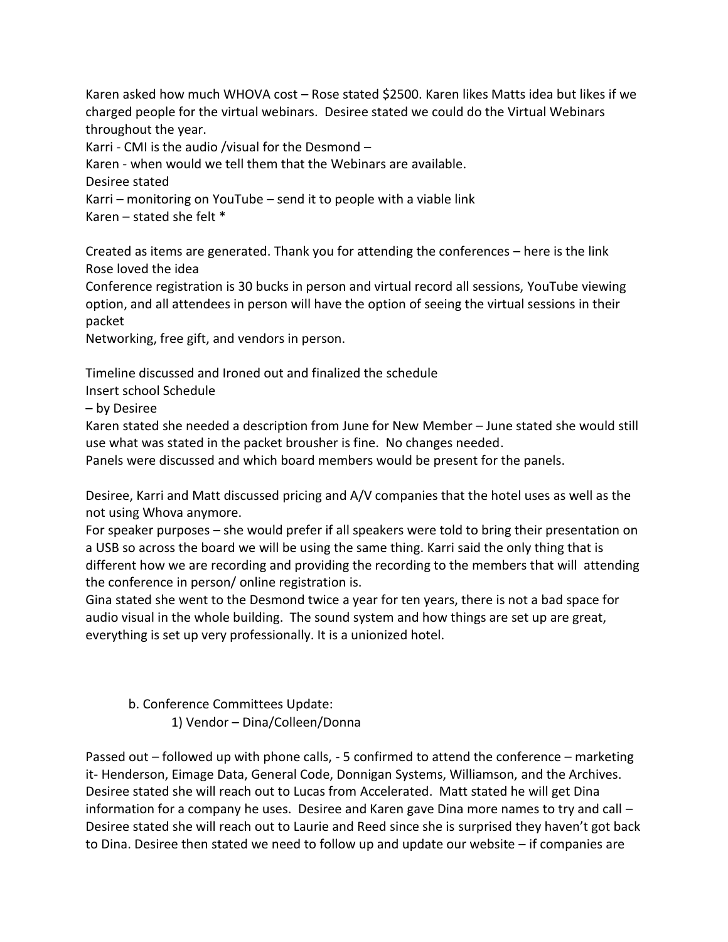Karen asked how much WHOVA cost – Rose stated \$2500. Karen likes Matts idea but likes if we charged people for the virtual webinars. Desiree stated we could do the Virtual Webinars throughout the year.

Karri - CMI is the audio /visual for the Desmond –

Karen - when would we tell them that the Webinars are available.

Desiree stated

Karri – monitoring on YouTube – send it to people with a viable link

Karen – stated she felt \*

Created as items are generated. Thank you for attending the conferences – here is the link Rose loved the idea

Conference registration is 30 bucks in person and virtual record all sessions, YouTube viewing option, and all attendees in person will have the option of seeing the virtual sessions in their packet

Networking, free gift, and vendors in person.

Timeline discussed and Ironed out and finalized the schedule

Insert school Schedule

– by Desiree

Karen stated she needed a description from June for New Member – June stated she would still use what was stated in the packet brousher is fine. No changes needed.

Panels were discussed and which board members would be present for the panels.

Desiree, Karri and Matt discussed pricing and A/V companies that the hotel uses as well as the not using Whova anymore.

For speaker purposes – she would prefer if all speakers were told to bring their presentation on a USB so across the board we will be using the same thing. Karri said the only thing that is different how we are recording and providing the recording to the members that will attending the conference in person/ online registration is.

Gina stated she went to the Desmond twice a year for ten years, there is not a bad space for audio visual in the whole building. The sound system and how things are set up are great, everything is set up very professionally. It is a unionized hotel.

b. Conference Committees Update: 1) Vendor – Dina/Colleen/Donna

Passed out – followed up with phone calls, - 5 confirmed to attend the conference – marketing it- Henderson, Eimage Data, General Code, Donnigan Systems, Williamson, and the Archives. Desiree stated she will reach out to Lucas from Accelerated. Matt stated he will get Dina information for a company he uses. Desiree and Karen gave Dina more names to try and call – Desiree stated she will reach out to Laurie and Reed since she is surprised they haven't got back to Dina. Desiree then stated we need to follow up and update our website – if companies are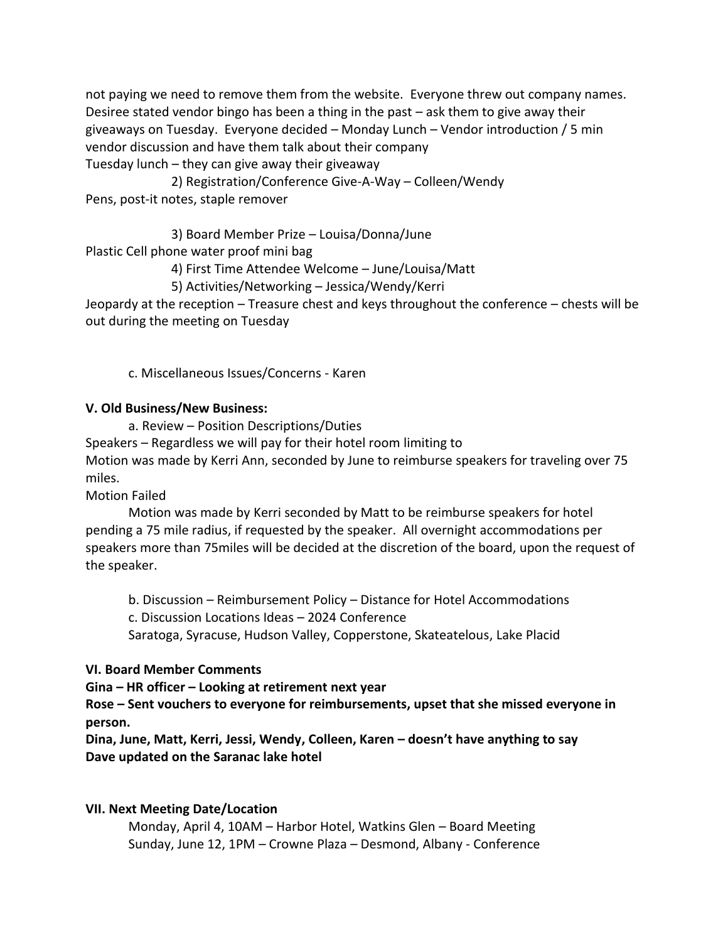not paying we need to remove them from the website. Everyone threw out company names. Desiree stated vendor bingo has been a thing in the past – ask them to give away their giveaways on Tuesday. Everyone decided – Monday Lunch – Vendor introduction / 5 min vendor discussion and have them talk about their company Tuesday lunch – they can give away their giveaway

2) Registration/Conference Give-A-Way – Colleen/Wendy Pens, post-it notes, staple remover

3) Board Member Prize – Louisa/Donna/June Plastic Cell phone water proof mini bag

4) First Time Attendee Welcome – June/Louisa/Matt

5) Activities/Networking – Jessica/Wendy/Kerri

Jeopardy at the reception – Treasure chest and keys throughout the conference – chests will be out during the meeting on Tuesday

c. Miscellaneous Issues/Concerns - Karen

### **V. Old Business/New Business:**

a. Review – Position Descriptions/Duties Speakers – Regardless we will pay for their hotel room limiting to Motion was made by Kerri Ann, seconded by June to reimburse speakers for traveling over 75 miles.

Motion Failed

Motion was made by Kerri seconded by Matt to be reimburse speakers for hotel pending a 75 mile radius, if requested by the speaker. All overnight accommodations per speakers more than 75miles will be decided at the discretion of the board, upon the request of the speaker.

b. Discussion – Reimbursement Policy – Distance for Hotel Accommodations c. Discussion Locations Ideas – 2024 Conference Saratoga, Syracuse, Hudson Valley, Copperstone, Skateatelous, Lake Placid

#### **VI. Board Member Comments**

**Gina – HR officer – Looking at retirement next year**

**Rose – Sent vouchers to everyone for reimbursements, upset that she missed everyone in person.** 

**Dina, June, Matt, Kerri, Jessi, Wendy, Colleen, Karen – doesn't have anything to say Dave updated on the Saranac lake hotel**

#### **VII. Next Meeting Date/Location**

Monday, April 4, 10AM – Harbor Hotel, Watkins Glen – Board Meeting Sunday, June 12, 1PM – Crowne Plaza – Desmond, Albany - Conference